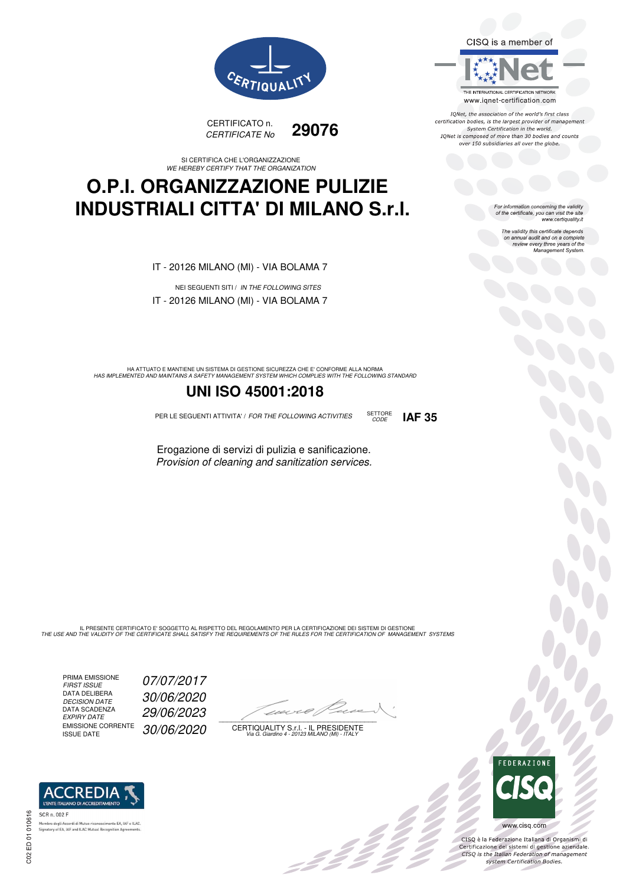



#### SI CERTIFICA CHE L'ORGANIZZAZIONE WE HEREBY CERTIFY THAT THE ORGANIZATION

## **O.P.I. ORGANIZZAZIONE PULIZIE INDUSTRIALI CITTA' DI MILANO S.r.l.**

IT - 20126 MILANO (MI) - VIA BOLAMA 7

NEI SEGUENTI SITI / IN THE FOLLOWING SITES IT - 20126 MILANO (MI) - VIA BOLAMA 7

HA ATTUATO E MANTIENE UN SISTEMA DI GESTIONE SICUREZZA CHE E' CONFORME ALLA NORMA<br>HAS IMPLEMENTED AND MAINTAINS A SAFETY MANAGEMENT SYSTEM WHICH COMPLIES WITH THE FOLLOWING STANDARD

### **UNI ISO 45001:2018**

PER LE SEGUENTI ATTIVITA' / FOR THE FOLLOWING ACTIVITIES SETTORE

Erogazione di servizi di pulizia e sanificazione. Provision of cleaning and sanitization services.

IL PRESENTE CERTIFICATO E' SOGGETTO AL RISPETTO DEL REGOLAMENTO PER LA CERTIFICAZIONE DEI SISTEMI DI GESTIONE<br>THE USE AND THE VALIDITY OF THE CERTIFICATE SHALL SATISFY THE REQUIREMENTS OF THE RULES FOR THE CERTIFICATION OF

PRIMA EMISSIONE FIRST ISSUE 07/07/2017 DATA DELIBERA DECISION DATE<br>DATA SCADENZA<br>EXPIRY DATE EMISSIONE CORRENTE<br>ISSUE DATE

**REDIA I'ENTE ITALIANO DI ACCREDITAM** 

nento EA, IAF e ILAC

.<br>Membro degli Accordi di Mutuo riconoscimento EA, IAF<br>Signatory of EA, IAF and ILAC Mutual Recognition Agree

DECISION DATE 30/06/2020 EXPIRY DATE 29/06/2023 30/06/2020

 $\overline{\phantom{a}}$ 

:422

CERTIQUALITY S.r.l. - IL PRESIDENTE Via G. Giardino 4 - 20123 MILANO (MI) - ITALY





CISQ è la Federazione Italiana di Organismi di<br>Certificazione dei sistemi di gestione aziendale.<br>CISQ is the Italian Federation of management<br>system Certification Bodies.



TONet, the association of the world's first class reflect, the association of the world's mist class<br>certification bodies, is the largest provider of management System Certification in the world.<br>IQNet is composed of more than 30 bodies and counts over 150 subsidiaries all over the globe.

CODE **IAF 35**

For information concerning the validity<br>of the certificate, you can visit the site www.certiquality.it

> The validity this certificate depends on annual audit and on a complete<br>on annual audit and on a complete<br>review every three years of the<br>Management System.

SCR n. 002 F